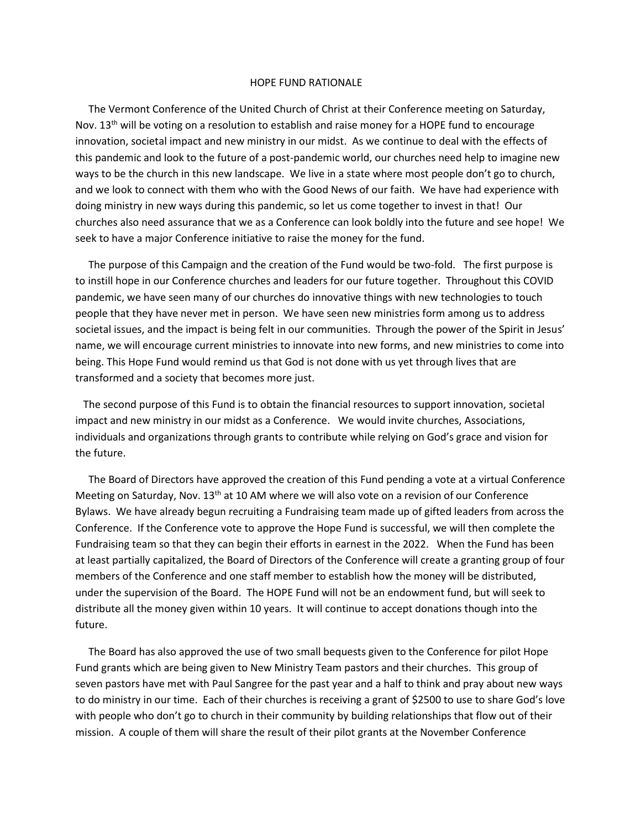## HOPE FUND RATIONALE

 The Vermont Conference of the United Church of Christ at their Conference meeting on Saturday, Nov.  $13<sup>th</sup>$  will be voting on a resolution to establish and raise money for a HOPE fund to encourage innovation, societal impact and new ministry in our midst. As we continue to deal with the effects of this pandemic and look to the future of a post-pandemic world, our churches need help to imagine new ways to be the church in this new landscape. We live in a state where most people don't go to church, and we look to connect with them who with the Good News of our faith. We have had experience with doing ministry in new ways during this pandemic, so let us come together to invest in that! Our churches also need assurance that we as a Conference can look boldly into the future and see hope! We seek to have a major Conference initiative to raise the money for the fund.

 The purpose of this Campaign and the creation of the Fund would be two-fold. The first purpose is to instill hope in our Conference churches and leaders for our future together. Throughout this COVID pandemic, we have seen many of our churches do innovative things with new technologies to touch people that they have never met in person. We have seen new ministries form among us to address societal issues, and the impact is being felt in our communities. Through the power of the Spirit in Jesus' name, we will encourage current ministries to innovate into new forms, and new ministries to come into being. This Hope Fund would remind us that God is not done with us yet through lives that are transformed and a society that becomes more just.

 The second purpose of this Fund is to obtain the financial resources to support innovation, societal impact and new ministry in our midst as a Conference. We would invite churches, Associations, individuals and organizations through grants to contribute while relying on God's grace and vision for the future.

 The Board of Directors have approved the creation of this Fund pending a vote at a virtual Conference Meeting on Saturday, Nov. 13<sup>th</sup> at 10 AM where we will also vote on a revision of our Conference Bylaws. We have already begun recruiting a Fundraising team made up of gifted leaders from across the Conference. If the Conference vote to approve the Hope Fund is successful, we will then complete the Fundraising team so that they can begin their efforts in earnest in the 2022. When the Fund has been at least partially capitalized, the Board of Directors of the Conference will create a granting group of four members of the Conference and one staff member to establish how the money will be distributed, under the supervision of the Board. The HOPE Fund will not be an endowment fund, but will seek to distribute all the money given within 10 years. It will continue to accept donations though into the future.

 The Board has also approved the use of two small bequests given to the Conference for pilot Hope Fund grants which are being given to New Ministry Team pastors and their churches. This group of seven pastors have met with Paul Sangree for the past year and a half to think and pray about new ways to do ministry in our time. Each of their churches is receiving a grant of \$2500 to use to share God's love with people who don't go to church in their community by building relationships that flow out of their mission. A couple of them will share the result of their pilot grants at the November Conference